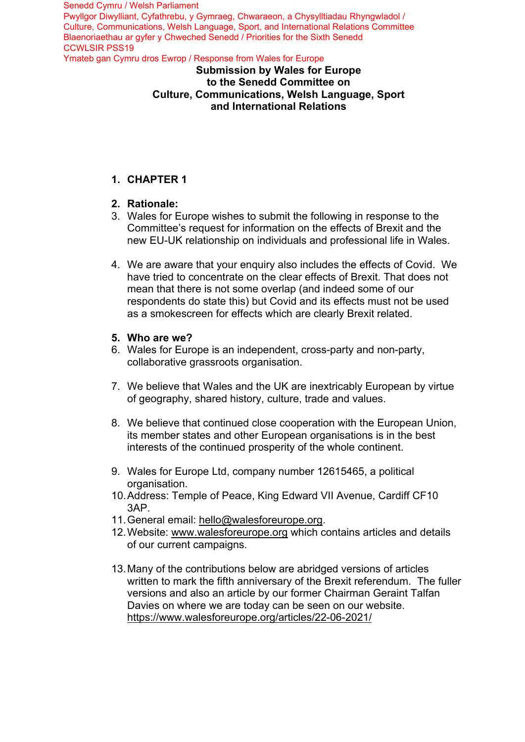### **Submission by Wales for Europe to the Senedd Committee on Culture, Communications, Welsh Language, Sport and International Relations**

# **1. CHAPTER 1**

### **2. Rationale:**

- 3. Wales for Europe wishes to submit the following in response to the Committee's request for information on the effects of Brexit and the new EU-UK relationship on individuals and professional life in Wales.
- 4. We are aware that your enquiry also includes the effects of Covid. We have tried to concentrate on the clear effects of Brexit. That does not mean that there is not some overlap (and indeed some of our respondents do state this) but Covid and its effects must not be used as a smokescreen for effects which are clearly Brexit related.

### **5. Who are we?**

- 6. Wales for Europe is an independent, cross-party and non-party, collaborative grassroots organisation.
- 7. We believe that Wales and the UK are inextricably European by virtue of geography, shared history, culture, trade and values.
- 8. We believe that continued close cooperation with the European Union, its member states and other European organisations is in the best interests of the continued prosperity of the whole continent.
- 9. Wales for Europe Ltd, company number 12615465, a political organisation.
- 10. Address: Temple of Peace, King Edward VII Avenue, Cardiff CF10 3AP.
- 11. General email: hello@walesforeurope.org.
- 12. Website: www.walesforeurope.org which contains articles and details of our current campaigns.
- 13. Many of the contributions below are abridged versions of articles written to mark the fifth anniversary of the Brexit referendum. The fuller versions and also an article by our former Chairman Geraint Talfan Davies on where we are today can be seen on our website. https://www.walesforeurope.org/articles/22-06-2021/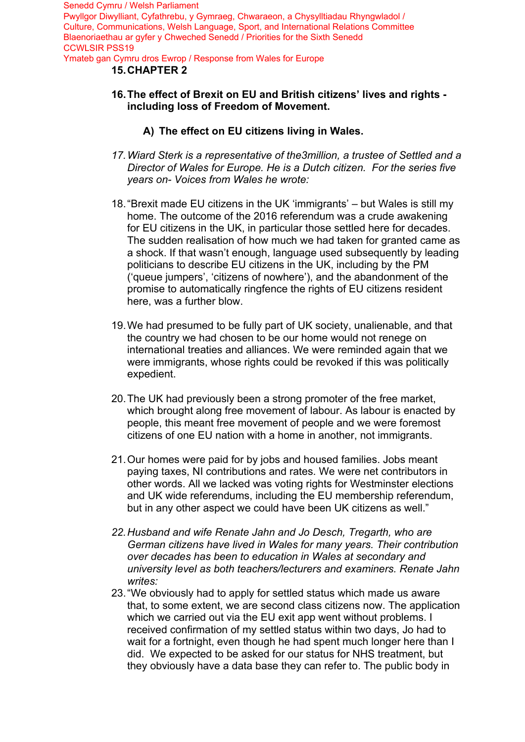### **15. CHAPTER 2**

- **16. The effect of Brexit on EU and British citizens' lives and rights including loss of Freedom of Movement.**
	- **A) The effect on EU citizens living in Wales.**
- *17. Wiard Sterk is a representative of the3million, a trustee of Settled and a Director of Wales for Europe. He is a Dutch citizen. For the series five years on- Voices from Wales he wrote:*
- 18. "Brexit made EU citizens in the UK 'immigrants' but Wales is still my home. The outcome of the 2016 referendum was a crude awakening for EU citizens in the UK, in particular those settled here for decades. The sudden realisation of how much we had taken for granted came as a shock. If that wasn't enough, language used subsequently by leading politicians to describe EU citizens in the UK, including by the PM ('queue jumpers', 'citizens of nowhere'), and the abandonment of the promise to automatically ringfence the rights of EU citizens resident here, was a further blow.
- 19.We had presumed to be fully part of UK society, unalienable, and that the country we had chosen to be our home would not renege on international treaties and alliances. We were reminded again that we were immigrants, whose rights could be revoked if this was politically expedient.
- 20.The UK had previously been a strong promoter of the free market, which brought along free movement of labour. As labour is enacted by people, this meant free movement of people and we were foremost citizens of one EU nation with a home in another, not immigrants.
- 21.Our homes were paid for by jobs and housed families. Jobs meant paying taxes, NI contributions and rates. We were net contributors in other words. All we lacked was voting rights for Westminster elections and UK wide referendums, including the EU membership referendum, but in any other aspect we could have been UK citizens as well."
- *22. Husband and wife Renate Jahn and Jo Desch, Tregarth, who are German citizens have lived in Wales for many years. Their contribution over decades has been to education in Wales at secondary and university level as both teachers/lecturers and examiners. Renate Jahn writes:*
- 23. "We obviously had to apply for settled status which made us aware that, to some extent, we are second class citizens now. The application which we carried out via the EU exit app went without problems. I received confirmation of my settled status within two days, Jo had to wait for a fortnight, even though he had spent much longer here than I did. We expected to be asked for our status for NHS treatment, but they obviously have a data base they can refer to. The public body in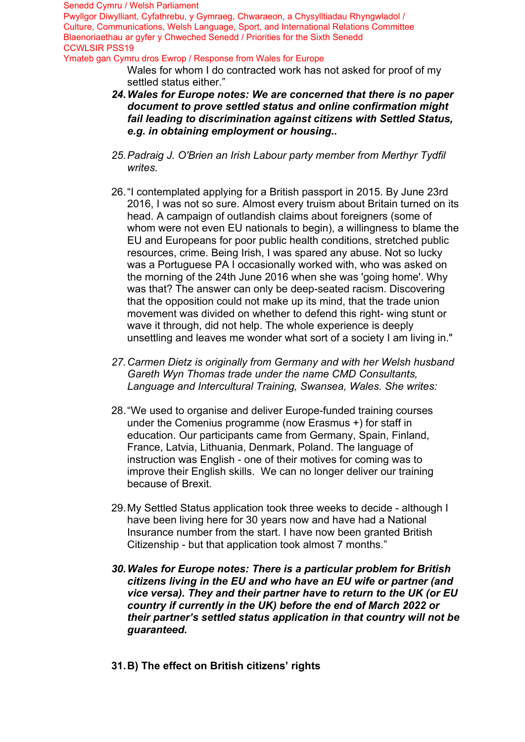Senedd Cymru / Welsh Parliament

Pwyllgor Diwylliant, Cyfathrebu, y Gymraeg, Chwaraeon, a Chysylltiadau Rhyngwladol / Culture, Communications, Welsh Language, Sport, and International Relations Committee Blaenoriaethau ar gyfer y Chweched Senedd / Priorities for the Sixth Senedd CCWLSIR PSS19

Ymateb gan Cymru dros Ewrop / Response from Wales for Europe

Wales for whom I do contracted work has not asked for proof of my settled status either."

- *24. Wales for Europe notes: We are concerned that there is no paper document to prove settled status and online confirmation might fail leading to discrimination against citizens with Settled Status, e.g. in obtaining employment or housing..*
- *25. Padraig J. O'Brien an Irish Labour party member from Merthyr Tydfil writes.*
- 26. "I contemplated applying for a British passport in 2015. By June 23rd 2016, I was not so sure. Almost every truism about Britain turned on its head. A campaign of outlandish claims about foreigners (some of whom were not even EU nationals to begin), a willingness to blame the EU and Europeans for poor public health conditions, stretched public resources, crime. Being Irish, I was spared any abuse. Not so lucky was a Portuguese PA I occasionally worked with, who was asked on the morning of the 24th June 2016 when she was 'going home'. Why was that? The answer can only be deep-seated racism. Discovering that the opposition could not make up its mind, that the trade union movement was divided on whether to defend this right- wing stunt or wave it through, did not help. The whole experience is deeply unsettling and leaves me wonder what sort of a society I am living in."
- *27. Carmen Dietz is originally from Germany and with her Welsh husband Gareth Wyn Thomas trade under the name CMD Consultants, Language and Intercultural Training, Swansea, Wales. She writes:*
- 28. "We used to organise and deliver Europe-funded training courses under the Comenius programme (now Erasmus +) for staff in education. Our participants came from Germany, Spain, Finland, France, Latvia, Lithuania, Denmark, Poland. The language of instruction was English - one of their motives for coming was to improve their English skills. We can no longer deliver our training because of Brexit.
- 29. My Settled Status application took three weeks to decide although I have been living here for 30 years now and have had a National Insurance number from the start. I have now been granted British Citizenship - but that application took almost 7 months."
- *30. Wales for Europe notes: There is a particular problem for British citizens living in the EU and who have an EU wife or partner (and vice versa). They and their partner have to return to the UK (or EU country if currently in the UK) before the end of March 2022 or their partner's settled status application in that country will not be guaranteed.*
- **31. B) The effect on British citizens' rights**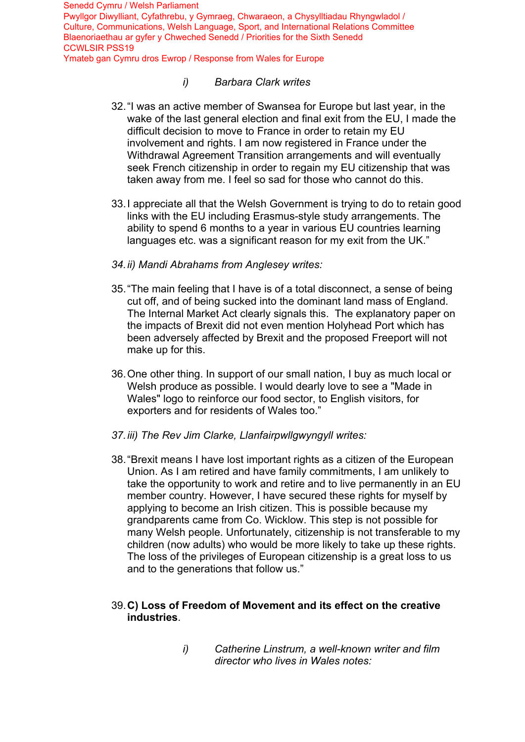## *i) Barbara Clark writes*

- 32. "I was an active member of Swansea for Europe but last year, in the wake of the last general election and final exit from the EU, I made the difficult decision to move to France in order to retain my EU involvement and rights. I am now registered in France under the Withdrawal Agreement Transition arrangements and will eventually seek French citizenship in order to regain my EU citizenship that was taken away from me. I feel so sad for those who cannot do this.
- 33. I appreciate all that the Welsh Government is trying to do to retain good links with the EU including Erasmus-style study arrangements. The ability to spend 6 months to a year in various EU countries learning languages etc. was a significant reason for my exit from the UK."
- *34. ii) Mandi Abrahams from Anglesey writes:*
- 35. "The main feeling that I have is of a total disconnect, a sense of being cut off, and of being sucked into the dominant land mass of England. The Internal Market Act clearly signals this. The explanatory paper on the impacts of Brexit did not even mention Holyhead Port which has been adversely affected by Brexit and the proposed Freeport will not make up for this.
- 36.One other thing. In support of our small nation, I buy as much local or Welsh produce as possible. I would dearly love to see a "Made in Wales" logo to reinforce our food sector, to English visitors, for exporters and for residents of Wales too."
- *37. iii) The Rev Jim Clarke, Llanfairpwllgwyngyll writes:*
- 38. "Brexit means I have lost important rights as a citizen of the European Union. As I am retired and have family commitments, I am unlikely to take the opportunity to work and retire and to live permanently in an EU member country. However, I have secured these rights for myself by applying to become an Irish citizen. This is possible because my grandparents came from Co. Wicklow. This step is not possible for many Welsh people. Unfortunately, citizenship is not transferable to my children (now adults) who would be more likely to take up these rights. The loss of the privileges of European citizenship is a great loss to us and to the generations that follow us."

### 39.**C) Loss of Freedom of Movement and its effect on the creative industries**.

*i) Catherine Linstrum, a well-known writer and film director who lives in Wales notes:*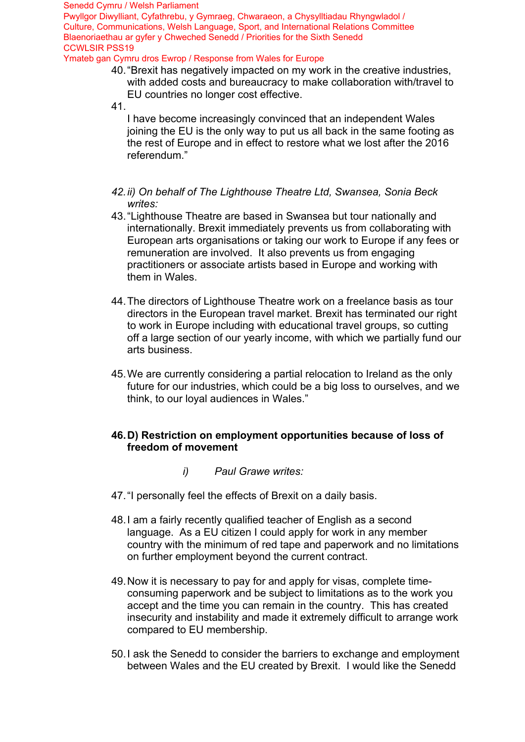Pwyllgor Diwylliant, Cyfathrebu, y Gymraeg, Chwaraeon, a Chysylltiadau Rhyngwladol / Culture, Communications, Welsh Language, Sport, and International Relations Committee Blaenoriaethau ar gyfer y Chweched Senedd / Priorities for the Sixth Senedd CCWLSIR PSS19

Ymateb gan Cymru dros Ewrop / Response from Wales for Europe

- 40. "Brexit has negatively impacted on my work in the creative industries, with added costs and bureaucracy to make collaboration with/travel to EU countries no longer cost effective.
- 41.

I have become increasingly convinced that an independent Wales joining the EU is the only way to put us all back in the same footing as the rest of Europe and in effect to restore what we lost after the 2016 referendum."

- *42. ii) On behalf of The Lighthouse Theatre Ltd, Swansea, Sonia Beck writes:*
- 43. "Lighthouse Theatre are based in Swansea but tour nationally and internationally. Brexit immediately prevents us from collaborating with European arts organisations or taking our work to Europe if any fees or remuneration are involved. It also prevents us from engaging practitioners or associate artists based in Europe and working with them in Wales.
- 44. The directors of Lighthouse Theatre work on a freelance basis as tour directors in the European travel market. Brexit has terminated our right to work in Europe including with educational travel groups, so cutting off a large section of our yearly income, with which we partially fund our arts business.
- 45.We are currently considering a partial relocation to Ireland as the only future for our industries, which could be a big loss to ourselves, and we think, to our loyal audiences in Wales."

### **46. D) Restriction on employment opportunities because of loss of freedom of movement**

- *i) Paul Grawe writes:*
- 47. "I personally feel the effects of Brexit on a daily basis.
- 48. I am a fairly recently qualified teacher of English as a second language. As a EU citizen I could apply for work in any member country with the minimum of red tape and paperwork and no limitations on further employment beyond the current contract.
- 49. Now it is necessary to pay for and apply for visas, complete timeconsuming paperwork and be subject to limitations as to the work you accept and the time you can remain in the country. This has created insecurity and instability and made it extremely difficult to arrange work compared to EU membership.
- 50. I ask the Senedd to consider the barriers to exchange and employment between Wales and the EU created by Brexit. I would like the Senedd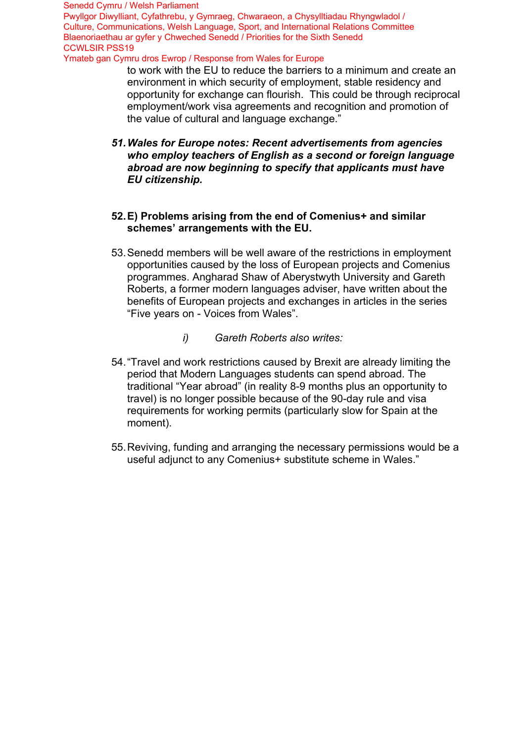to work with the EU to reduce the barriers to a minimum and create an environment in which security of employment, stable residency and opportunity for exchange can flourish. This could be through reciprocal employment/work visa agreements and recognition and promotion of the value of cultural and language exchange."

*51.Wales for Europe notes: Recent advertisements from agencies who employ teachers of English as a second or foreign language abroad are now beginning to specify that applicants must have EU citizenship.*

#### **52.E) Problems arising from the end of Comenius+ and similar schemes' arrangements with the EU.**

- 53.Senedd members will be well aware of the restrictions in employment opportunities caused by the loss of European projects and Comenius programmes. Angharad Shaw of Aberystwyth University and Gareth Roberts, a former modern languages adviser, have written about the benefits of European projects and exchanges in articles in the series "Five years on - Voices from Wales".
	- *i) Gareth Roberts also writes:*
- 54."Travel and work restrictions caused by Brexit are already limiting the period that Modern Languages students can spend abroad. The traditional "Year abroad" (in reality 8-9 months plus an opportunity to travel) is no longer possible because of the 90-day rule and visa requirements for working permits (particularly slow for Spain at the moment).
- 55.Reviving, funding and arranging the necessary permissions would be a useful adjunct to any Comenius+ substitute scheme in Wales."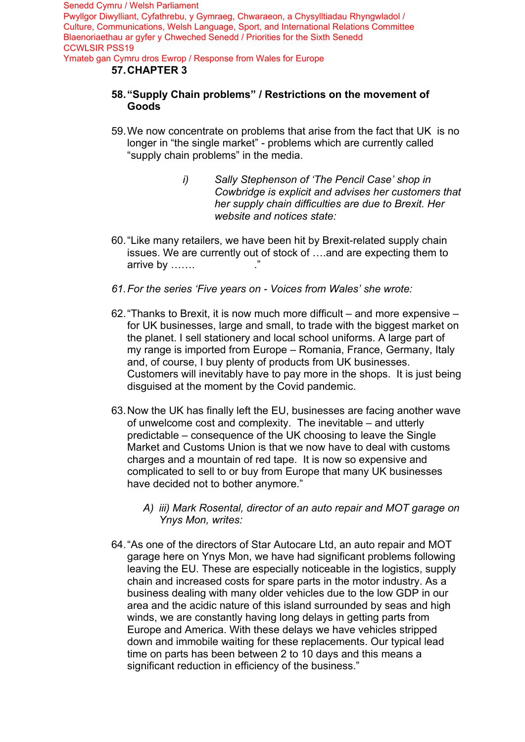#### **57. CHAPTER 3**

- **58. "Supply Chain problems" / Restrictions on the movement of Goods**
- 59. We now concentrate on problems that arise from the fact that UK is no longer in "the single market" - problems which are currently called "supply chain problems" in the media.
	- *i) Sally Stephenson of 'The Pencil Case' shop in Cowbridge is explicit and advises her customers that her supply chain difficulties are due to Brexit. Her website and notices state:*
- 60. "Like many retailers, we have been hit by Brexit-related supply chain issues. We are currently out of stock of ….and are expecting them to arrive by  $\ldots$ ...
- *61.For the series 'Five years on Voices from Wales' she wrote:*
- 62. "Thanks to Brexit, it is now much more difficult and more expensive for UK businesses, large and small, to trade with the biggest market on the planet. I sell stationery and local school uniforms. A large part of my range is imported from Europe – Romania, France, Germany, Italy and, of course, I buy plenty of products from UK businesses. Customers will inevitably have to pay more in the shops. It is just being disguised at the moment by the Covid pandemic.
- 63.Now the UK has finally left the EU, businesses are facing another wave of unwelcome cost and complexity. The inevitable – and utterly predictable – consequence of the UK choosing to leave the Single Market and Customs Union is that we now have to deal with customs charges and a mountain of red tape. It is now so expensive and complicated to sell to or buy from Europe that many UK businesses have decided not to bother anymore."
	- *A) iii) Mark Rosental, director of an auto repair and MOT garage on Ynys Mon, writes:*
- 64. "As one of the directors of Star Autocare Ltd, an auto repair and MOT garage here on Ynys Mon, we have had significant problems following leaving the EU. These are especially noticeable in the logistics, supply chain and increased costs for spare parts in the motor industry. As a business dealing with many older vehicles due to the low GDP in our area and the acidic nature of this island surrounded by seas and high winds, we are constantly having long delays in getting parts from Europe and America. With these delays we have vehicles stripped down and immobile waiting for these replacements. Our typical lead time on parts has been between 2 to 10 days and this means a significant reduction in efficiency of the business."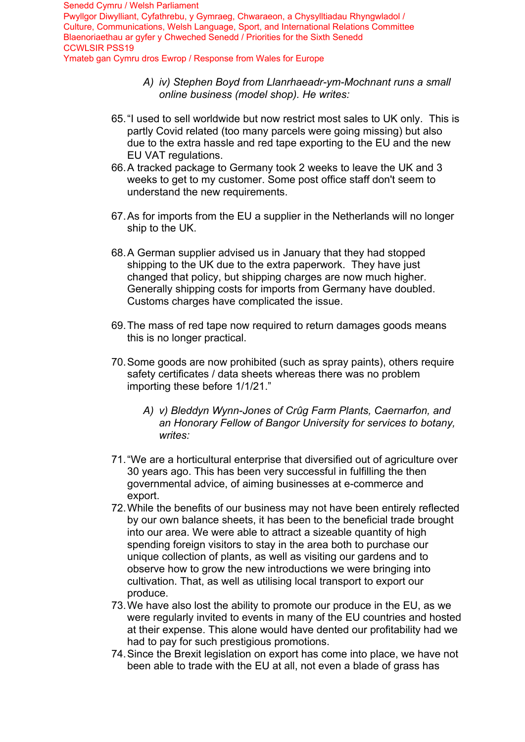- *A) iv) Stephen Boyd from Llanrhaeadr-ym-Mochnant runs a small online business (model shop). He writes:*
- 65. "I used to sell worldwide but now restrict most sales to UK only. This is partly Covid related (too many parcels were going missing) but also due to the extra hassle and red tape exporting to the EU and the new EU VAT regulations.
- 66. A tracked package to Germany took 2 weeks to leave the UK and 3 weeks to get to my customer. Some post office staff don't seem to understand the new requirements.
- 67. As for imports from the EU a supplier in the Netherlands will no longer ship to the UK.
- 68. A German supplier advised us in January that they had stopped shipping to the UK due to the extra paperwork. They have just changed that policy, but shipping charges are now much higher. Generally shipping costs for imports from Germany have doubled. Customs charges have complicated the issue.
- 69. The mass of red tape now required to return damages goods means this is no longer practical.
- 70. Some goods are now prohibited (such as spray paints), others require safety certificates / data sheets whereas there was no problem importing these before 1/1/21."
	- *A) v) Bleddyn Wynn-Jones of Crûg Farm Plants, Caernarfon, and an Honorary Fellow of Bangor University for services to botany, writes:*
- 71. "We are a horticultural enterprise that diversified out of agriculture over 30 years ago. This has been very successful in fulfilling the then governmental advice, of aiming businesses at e-commerce and export.
- 72. While the benefits of our business may not have been entirely reflected by our own balance sheets, it has been to the beneficial trade brought into our area. We were able to attract a sizeable quantity of high spending foreign visitors to stay in the area both to purchase our unique collection of plants, as well as visiting our gardens and to observe how to grow the new introductions we were bringing into cultivation. That, as well as utilising local transport to export our produce.
- 73. We have also lost the ability to promote our produce in the EU, as we were regularly invited to events in many of the EU countries and hosted at their expense. This alone would have dented our profitability had we had to pay for such prestigious promotions.
- 74. Since the Brexit legislation on export has come into place, we have not been able to trade with the EU at all, not even a blade of grass has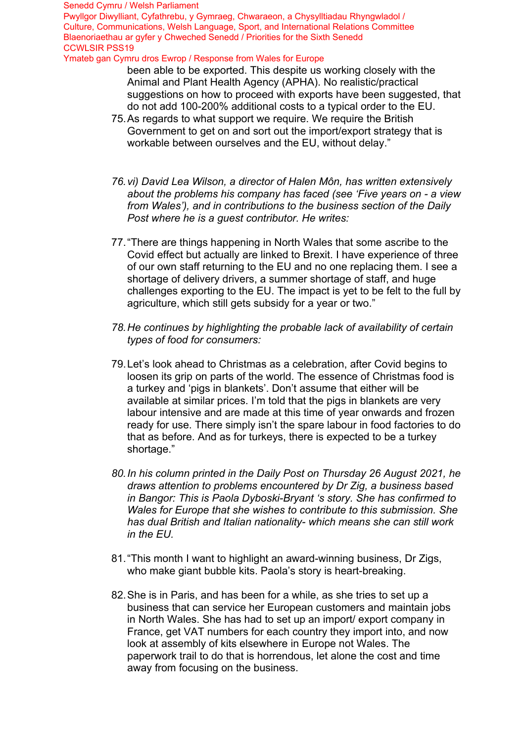#### Senedd Cymru / Welsh Parliament

Pwyllgor Diwylliant, Cyfathrebu, y Gymraeg, Chwaraeon, a Chysylltiadau Rhyngwladol / Culture, Communications, Welsh Language, Sport, and International Relations Committee Blaenoriaethau ar gyfer y Chweched Senedd / Priorities for the Sixth Senedd CCWLSIR PSS19

Ymateb gan Cymru dros Ewrop / Response from Wales for Europe

- been able to be exported. This despite us working closely with the Animal and Plant Health Agency (APHA). No realistic/practical suggestions on how to proceed with exports have been suggested, that do not add 100-200% additional costs to a typical order to the EU.
- 75.As regards to what support we require. We require the British Government to get on and sort out the import/export strategy that is workable between ourselves and the EU, without delay."
- *76.vi) David Lea Wilson, a director of Halen Môn, has written extensively about the problems his company has faced (see 'Five years on - a view from Wales'), and in contributions to the business section of the Daily Post where he is a guest contributor. He writes:*
- 77."There are things happening in North Wales that some ascribe to the Covid effect but actually are linked to Brexit. I have experience of three of our own staff returning to the EU and no one replacing them. I see a shortage of delivery drivers, a summer shortage of staff, and huge challenges exporting to the EU. The impact is yet to be felt to the full by agriculture, which still gets subsidy for a year or two."
- *78.He continues by highlighting the probable lack of availability of certain types of food for consumers:*
- 79.Let's look ahead to Christmas as a celebration, after Covid begins to loosen its grip on parts of the world. The essence of Christmas food is a turkey and 'pigs in blankets'. Don't assume that either will be available at similar prices. I'm told that the pigs in blankets are very labour intensive and are made at this time of year onwards and frozen ready for use. There simply isn't the spare labour in food factories to do that as before. And as for turkeys, there is expected to be a turkey shortage."
- *80.In his column printed in the Daily Post on Thursday 26 August 2021, he draws attention to problems encountered by Dr Zig, a business based in Bangor: This is Paola Dyboski-Bryant 's story. She has confirmed to Wales for Europe that she wishes to contribute to this submission. She has dual British and Italian nationality- which means she can still work in the EU.*
- 81."This month I want to highlight an award-winning business, Dr Zigs, who make giant bubble kits. Paola's story is heart-breaking.
- 82.She is in Paris, and has been for a while, as she tries to set up a business that can service her European customers and maintain jobs in North Wales. She has had to set up an import/ export company in France, get VAT numbers for each country they import into, and now look at assembly of kits elsewhere in Europe not Wales. The paperwork trail to do that is horrendous, let alone the cost and time away from focusing on the business.